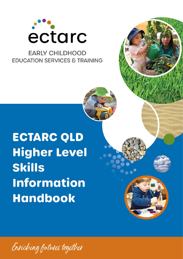

## **EARLY CHILDHOOD EDUCATION SERVICES & TRAINING**

# **ECTARC QLD Higher Level Skills Information Handbook**

Enviching futures together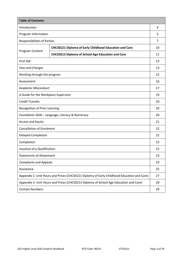| <b>Table of Contents</b>                                                                   |                                                               |    |
|--------------------------------------------------------------------------------------------|---------------------------------------------------------------|----|
| Introduction                                                                               |                                                               | 4  |
| Program Information                                                                        |                                                               | 5  |
| <b>Responsibilities of Parties</b>                                                         |                                                               | 7  |
|                                                                                            | <b>CHC50121 Diploma of Early Childhood Education and Care</b> | 10 |
| Program Content                                                                            | CHC50213 Diploma of School Age Education and Care             | 11 |
| <b>First Aid</b>                                                                           |                                                               | 13 |
| Fees and Charges                                                                           |                                                               | 13 |
| Working through the program                                                                |                                                               | 15 |
| Assessment                                                                                 |                                                               | 16 |
| <b>Academic Misconduct</b>                                                                 |                                                               | 17 |
| A Guide for the Workplace Supervisor                                                       |                                                               | 19 |
| <b>Credit Transfer</b>                                                                     |                                                               | 20 |
| Recognition of Prior Learning                                                              |                                                               | 20 |
| Foundation Skills - Language, Literacy & Numeracy                                          |                                                               | 20 |
| <b>Access and Equity</b>                                                                   |                                                               | 21 |
| <b>Cancellation of Enrolment</b>                                                           |                                                               | 22 |
| <b>Delayed Completion</b>                                                                  |                                                               | 22 |
| Completion                                                                                 |                                                               | 22 |
| Issuance of a Qualification                                                                |                                                               | 22 |
| <b>Statements of Attainment</b>                                                            |                                                               | 23 |
| <b>Complaints and Appeals</b>                                                              |                                                               | 23 |
| Assistance                                                                                 |                                                               | 25 |
| Appendix 1: Unit Hours and Prices (CHC50121 Diploma of Early Childhood Education and Care) |                                                               | 27 |
| Appendix 2: Unit Hours and Prices (CHC50213 Diploma of School Age Education and Care)      |                                                               | 28 |
| <b>Contact Numbers</b>                                                                     |                                                               | 29 |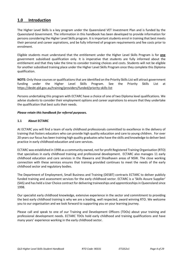## **1.0 Introduction**

The Higher Level Skills is a key program under the Queensland VET Investment Plan and is funded by the Queensland Government. The information in this handbook has been developed to provide information for persons considering the Higher Level Skills program. It is important students enrol in training that best meets their personal and career aspirations, and be fully informed of program requirements and fee costs prior to enrolment.

Eligible students must understand that the entitlement under the Higher Level Skills Program is for **one** government subsidised qualification only. It is imperative that students are fully informed about the entitlement and that they take the time to consider training choices and costs. Students will not be eligible for another subsidised training place under the Higher Level Skills Program once they complete this Diploma qualification.

**NOTE:** Only those courses or qualifications that are identified on the Priority Skills List will attract government funding under the Higher Level Skills Program. See the Priority Skills List at [https://desbt.qld.gov.au/training/](https://desbt.qld.gov.au/training)providers/funded/priority-skills-list

Persons undertaking this program with ECTARC have a choice of one of two Diploma level qualifications. We advise students to consider their employment options and career aspirations to ensure that they undertake the qualification that best suits their needs.

#### *Please retain this handbook for referral purposes.*

#### **1.1 About ECTARC**

At ECTARC you will find a team of early childhood professionals committed to excellence in the delivery of training that fosters educators who can provide high quality education and care to young children. For over 20 years our focus has been training high quality graduates who have the skills and knowledge to deliver best practice in early childhood education and care services.

ECTARC was established in 1998 as a community owned, not for profit Registered Training Organisation (RTO) that specialises in early childhood training and professional development. ECTARC also manages 11 early childhood education and care services in the Illawarra and Shoalhaven areas of NSW. The close working connection with these services ensures that training provided continues to meet the needs of the early childhood sector and regulatory bodies.

The Department of Employment, Small Business and Training (DESBT) contracts ECTARC to deliver publicly funded training and assessment services for the early childhood sector. ECTARC is a 'Skills Assure Supplier' (SAS) and has held a User Choice contract for delivering traineeships and apprenticeships in Queensland since 1998.

Our specialist early childhood knowledge, extensive experience in the sector and commitment to providing the best early childhood training is why we are a leading, well respected, award winning RTO. We welcome you to our organisation and we look forward to supporting you on your learning journey.

Please call and speak to one of our Training and Development Officers (TDOs) about your training and professional development needs. ECTARC TDOs hold early childhood and training qualifications and have many years' experience working in the early childhood sector.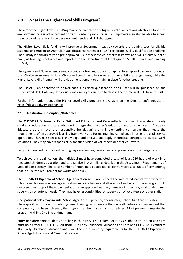## **2.0 What is the Higher Level Skills Program?**

The aim of the Higher Level Skills Program is the completion of higher level qualifications which lead to secure employment, career advancement or transition/entry into university. Employers may also be able to access training to address workforce development needs and skill shortages.

The Higher Level Skills funding will provide a Government subsidy towards the training cost for eligible students undertaking an Australian Qualifications Framework (AQF) certificate level IV qualification or above. The subsidy is paid directly to a pre-approved RTO of their choice, otherwise known as a Skills Assure Supplier (SAS), as training is delivered and reported to the Department of Employment, Small Business and Training (DESBT).

The Queensland Government already provides a training subsidy for apprenticeship and traineeships under User Choice arrangements. User Choice will continue to be delivered under existing arrangements, while the Higher Level Skills Program will provide an entitlement to a training place for other students.

The list of RTOs approved to deliver each subsidised qualification or skill set will be published on the Queensland Skills Gateway. Individuals and employers are free to choose their preferred RTO from this list.

Further information about the Higher Level Skills program is available on the Department's website at <https://desbt.qld.gov.au/training>

#### **2.1 Qualification Description/Outcomes:**

The **CHC50121 Diploma of Early Childhood Education and Care** reflects the role of educators in early childhood education and care who work in regulated children's education and care services in Australia. Educators at this level are responsible for designing and implementing curriculum that meets the requirements of an approved learning framework and for maintaining compliance in other areas of service operations. They use specialised knowledge and analyse and apply theoretical concepts to diverse work situations. They may have responsibility for supervision of volunteers or other educators.

Early childhood educators work in long day care centres, family day care, pre-schools or kindergartens.

To achieve this qualification, the individual must have completed a total of least 280 hours of work in a regulated children's education and care service in Australia as detailed in the Assessment Requirements of units of competency. The total number of hours may be applied collectively across all units of competency that include the requirement for workplace hours.

The **CHC50213 Diploma of School Age Education and Care** reflects the role of educators who work with school age children in school age education and care before and after school and vacation care programs. In doing so, they support the implementation of an approved learning framework. They may work under direct supervision or autonomously. They may have responsibilities for supervision of volunteers or other staff.

**Occupational titles may include:** School Aged Care Supervisor/Coordinator, School Age Care Educator. These qualifications are competency-based training, which means that once all parties are in agreement that competency has been achieved, the program can be finalised and completed. Most persons complete the program within a 2 to 3 year time frame.

**Entry Requirements:** Students enrolling in the CHC50121 Diploma of Early Childhood Education and Care must hold either a CHC30113 Certificate III in Early Childhood Education and Care or a CHC30121 Certificate III in Early Childhood Education and Care. There are no entry requirements for the CHC50213 Diploma of School Age Education and Care qualification.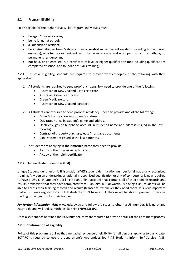#### **2.2 Program Eligibility**

To be eligible for the Higher Level Skills Program, individuals must:

- be aged 15 years or over;
- be no longer at school;
- a Queensland resident:
- be an Australian or New Zealand citizen or Australian permanent resident (including humanitarian entrants), or a temporary resident with the necessary visa and work permits on the pathway to permanent residency and
- not hold, or be enrolled in, a certificate IV level or higher qualification (not including qualifications completed at school and foundations skills training).

**2.2.1** To prove eligibility, students are required to provide 'verified copies' of the following with their application:

- 1. All students are required to send proof of citizenship need to provide **one** of the following:
	- Australian or New Zealand Birth certificate
	- Australian Citizen certificate
	- Green Medicare card
	- Australian or New Zealand passport
- 2. All students are required to send proof of residency need to provide **one** of the following:
	- Driver's license showing student's address
	- QLD rates notice in student's name and address
	- Electricity, gas or telephone account in student's name and address (issued in the last 6 months)
	- Contract of property purchase/lease/mortgage documents
	- Bank statement issued in the last 6 months
- 3. If students are applying **in their married** name they need to provide:
	- A copy of their marriage certificate
	- A copy of their birth certificate

#### **2.2.2 Unique Student Identifier (USI)**

Unique Student Identifier or 'USI' is a national VET student identification number for all nationally recognised training. Any person undertaking a nationally recognised qualification or unit of competency is now required to have a USI. Each student's USI links to an online account that contains all of their training records and results (transcript) that they have completed from 1 January 2015 onwards. By having a USI, students will be able to access their training records and results (transcript) whenever they need them. It is very important that all students register for a USI. If students don't have a USI, they won't be able to proceed to receive funding or recognition for their training.

*For further information visit:* www.usi.gov.au and follow the steps to obtain a USI number. It is quick and easy to do and will look something like this: **5NW87ZL1P2**

Once a student has obtained their USI number, they are required to provide details at the enrolment process.

#### **2.2.3 Confirmation of eligibility**

Policy of this program requires that we gather evidence of eligibility for all persons applying to participate. ECTARC is required to use the department's Apprenticeships / All Students Info – Self Service (AISS)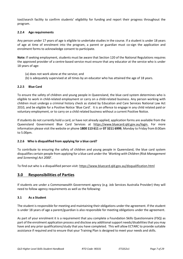tool/search facility to confirm students' eligibility for funding and report their progress throughout the program.

#### **2.2.4 Age requirements**

Any person under 17 years of age is eligible to undertake studies in the course. If a student is under 18 years of age at time of enrolment into the program, a parent or guardian must co-sign the application and enrolment forms to acknowledge consent to participate.

**Note:** If seeking employment, students must be aware that Section 120 of the National Regulations requires the approved provider of a centre-based service must ensure that any educator at the service who is under 18 years of age:

- (a) does not work alone at the service; and
- (b) is adequately supervised at all times by an educator who has attained the age of 18 years.

#### **2.2.5 Blue Card**

To ensure the safety of children and young people in Queensland, the blue card system determines who is eligible to work in child-related employment or carry on a child-related business. Any person working with children must undergo a criminal history check as stated by Education and Care Services National Law Act 2010, and be eligible for a Positive Notice 'Blue Card'. It is an offence to engage in any child related paid or voluntary employment, or to carry on a child related business without a current Positive Notice.

If students do not currently hold a card, or have not already applied, application forms are available from the Queensland Government Blue Card Services at https:/[/www.bluecard.qld.gov.au/](http://www.bluecard.qld.gov.au/)login. For more information please visit the website or phone **1800 113 611** or **07 3211 6999**, Monday to Friday from 8:00am to 5.00pm.

#### **2.2.6 Who is disqualified from applying for a blue card?**

To contribute to ensuring the safety of children and young people in Queensland, the blue card system disqualifies certain people from applying for a blue card under the *'Working with Children (Risk Management and Screening) Act 2000*'.

To find out who is a disqualified person visit:<https://www.bluecard.qld.gov.au/disqualification.html>

### **3.0 Responsibilities of Parties**

If students are under a Commonwealth Government agency (e.g. Job Services Australia Provider) they will need to follow agency requirements as well as the following:

#### **3.1 As a Student**

The student is responsible for meeting and maintaining their obligations under the agreement. If the student is under 18 years of age a parent/guardian is also responsible for meeting obligations under the agreement.

As part of your enrolment it is a requirement that you complete a Foundation Skills Questionnaire (FSQ) as part of the enrolment application process and disclose any additional support needs/disabilities that you may have and any prior qualifications/study that you have completed. This will allow ECTARC to provide suitable assistance if required and to ensure that your Training Plan is designed to meet your needs and skills.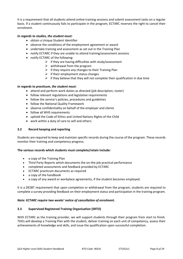It is a requirement that all students attend online training sessions and submit assessment tasks on a regular basis. If a student continuously fails to participate in the program, ECTARC reserves the right to cancel their enrolment.

#### *In regards to studies, the student must:*

- obtain a Unique Student Identifier
- observe the conditions of the employment agreement or award
- undertake training and assessment as set out in the Training Plan
- notify ECTARC if they are unable to attend training/assessment sessions
- notify ECTARC of the following:
	- $\triangleright$  if they are having difficulties with study/assessment
	- $\triangleright$  withdrawal from the program
	- $\triangleright$  if they require any changes to their Training Plan
	- $\triangleright$  if their employment status changes
	- $\triangleright$  if they believe that they will not complete their qualification in due time

#### *In regards to practicum, the student must:*

- attend and perform work duties as directed (job description, roster)
- follow relevant regulations and legislative requirements
- follow the service's policies, procedures and guidelines
- follow the National Quality Framework
- observe confidentiality on behalf of the employer and clients
- follow all WHS requirements
- uphold the Code of Ethics and United Nations Rights of the Child
- work within a duty of care to self and others.

#### **3.2 Record keeping and reporting**

Students are required to keep and maintain specific records during the course of the program. These records monitor their training and competency progress.

#### **The various records which students must complete/retain include:**

- a copy of the Training Plan
- Third Party Reports which documents the on-the-job practical performance
- completed assessments and feedback provided by ECTARC
- ECTARC practicum documents as required
- a copy of the handbook
- a copy of any award or workplace agreements, if the student becomes employed.

It is a DESBT requirement that upon completion or withdrawal from the program, students are required to complete a survey providing feedback on their employment status and participation in the training program.

#### *Note: ECTARC require two weeks' notice of cancellation of enrolment.*

#### **3.3 Supervised Registered Training Organisation (SRTO)**

With ECTARC as the training provider, we will support students through their program from start to finish. TDOs will develop a Training Plan with the student, deliver training on each unit of competency, assess their achievements of knowledge and skills, and issue the qualification upon successful completion.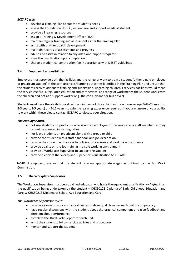#### *ECTARC will:*

- develop a Training Plan to suit the student's needs
- assess the Foundation Skills Questionnaire and support needs of student
- provide all learning resources
- assign a Training & Development Officer (TDO)
- maintain regular training and assessment as per the Training Plan
- assist with on-the-job skill development
- maintain records of assessments and progress
- advise and assist in relation to any additional support required
- issue the qualification upon completion
- charge a student co-contribution fee in accordance with DESBT guidelines

#### **3.4 Employer Responsibilities**

Employers must provide both the facilities and the range of work to train a student (either a paid employee or practicum student) in the competencies/learning outcomes identified in the Training Plan and ensure that the student receives adequate training and supervision. Regarding children's services, facilities would mean the service itself i.e. a regulated education and care service, and range of work means the student works with the children and not as a support worker (e.g. the cook, cleaner or bus driver).

Students must have the ability to work with a minimum of three children in each age group (Birth-23 months, 2-3 years, 3-5 years) or (5-12 years) to gain the learning experience required. If you are unsure of your ability to work within these please contact ECTARC to discuss your situation.

#### *The employer must:*

- not use students on practicum who is not an employee of the service as a staff member, as they cannot be counted in staffing ratios
- not leave students on practicum alone with a group or child
- provide the student with a staff handbook and job description
- provide the student with access to policies, procedures and workplace documents
- provide quality on-the-job training in a safe working environment
- provide a Workplace Supervisor to support the student
- provide a copy of the Workplace Supervisor's qualification to ECTARC

**NOTE***:* If employed, ensure that the student receives appropriate wages as outlined by the Fair Work Commission.

#### **3.5 The Workplace Supervisor**

The Workplace Supervisor must be a qualified educator who holds the equivalent qualification *or higher* than the qualification being undertaken by the student – CHC50121 Diploma of Early Childhood Education and Care *or* CHC50213 Diploma of School Age Education and Care.

#### *The Workplace Supervisor must:*

- provide a range of work and opportunities to develop skills as per each unit of competency
- have regular discussions with the student about the practical component and give feedback and direction about performance
- complete the Third Party Report for each unit
- assist the student to follow service policies and procedures
- mentor and support the student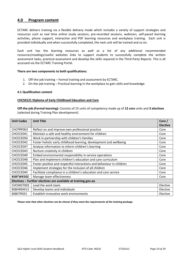## **4.0 Program content**

ECTARC delivers training via a flexible delivery mode which includes a variety of support strategies and resources such as real time online study sessions, pre-recorded sessions, webinars, self-paced learning activities, phone support, interactive and PDF learning resources and workplace training. Each unit is provided individually and when successfully completed, the next unit will be trained and so on.

Each unit has the learning resources as well as a list of any additional recommended resources/readings/useful websites links to support students to successfully complete the written assessment tasks, practical assessment and develop the skills required in the Third-Party Reports. This is all accessed via the ECTARC Training Portal.

#### **There are two components to both qualifications:**

- 1. Off-the-job training Formal training and assessment by ECTARC.
- 2. On-the-job training Practical learning in the workplace to gain skills and knowledge.

#### **4.1 Qualification content**

#### **CHC50121 Diploma of Early Childhood Education and Care**

**Off-the-job (Formal learning):** Consists of 15 units of competency made up of **12 core** units and **3 electives** (selected during Training Plan development).

| <b>Unit Codes</b>                                              | <b>Unit Title</b>                                                     | Core /<br><b>Elective</b> |
|----------------------------------------------------------------|-----------------------------------------------------------------------|---------------------------|
| CHCPRP003                                                      | Reflect on and improve own professional practice                      | Core                      |
| CHCECE041                                                      | Maintain a safe and healthy environment for children                  | Core                      |
| CHCECE050                                                      | Work in partnership with children's families                          | Core                      |
| CHCECE042                                                      | Foster holistic early childhood learning, development and wellbeing   | Core                      |
| CHCECE047                                                      | Analyse information to inform children's learning                     | Core                      |
| CHCECE043                                                      | Nurture creativity in children                                        | Core                      |
| CHCECE049                                                      | Embed environmental responsibility in service operations              | Core                      |
| CHCECE048                                                      | Plan and implement children's education and care curriculum           | Core                      |
| CHCECE045                                                      | Foster positive and respectful interactions and behaviour in children | Core                      |
| CHCECE046                                                      | Implement strategies for the inclusion of all children                | Core                      |
| CHCECE044                                                      | Facilitate compliance in a children's education and care service      | Core                      |
| BSBTWK502                                                      | Manage team effectiveness                                             | Core                      |
| Electives - Further electives are available at training.gov.au |                                                                       |                           |
| CHCMGT003                                                      | Lead the work team                                                    | Elective                  |
| BSBHRM413                                                      | Develop teams and individuals                                         | Elective                  |
| BSBSTR501                                                      | Establish innovative work environments                                | Elective                  |

*Please note that other electives can be chosen if they meet the requirements of the training package.*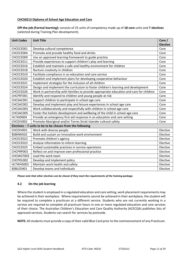#### **CHC50213 Diploma of School Age Education and Care**

**Off-the-job (Formal learning):** consists of 25 units of competency made up of **18 core** units and **7 electives** (selected during Training Plan development).

| <b>Unit Codes</b> | <b>Unit Title</b>                                                                        | Core /<br><b>Elective</b> |
|-------------------|------------------------------------------------------------------------------------------|---------------------------|
| CHCECE001         | Develop cultural competence                                                              | Core                      |
| CHCECE004         | Promote and provide healthy food and drinks                                              | Core                      |
| CHCECE009         | Use an approved learning framework to guide practice                                     | Core                      |
| CHCECE011         | Provide experiences to support children's play and learning                              | Core                      |
| CHCECE016         | Establish and maintain a safe and healthy environment for children                       | Core                      |
| CHCECE018         | Nurture creativity in children                                                           | Core                      |
| CHCECE019         | Facilitate compliance in an education and care service                                   | Core                      |
| CHCECE020         | Establish and implement plans for developing cooperative behaviour                       | Core                      |
| CHCECE021         | Implement strategies for the inclusion of all children                                   | Core                      |
| CHCECE024         | Design and implement the curriculum to foster children's learning and development        | Core                      |
| CHCECE026         | Work in partnership with families to provide appropriate education and care for children | Core                      |
| CHCPRT001         | Identify and respond to children and young people at risk                                | Core                      |
| CHCSAC001         | Support children to participate in school age care                                       | Core                      |
| CHCSAC002         | Develop and implement play and leisure experiences in school age care                    | Core                      |
| CHCSAC003         | Work collaboratively and respectfully with children in school age care                   | Core                      |
| CHCSAC005         | Foster the holistic development and wellbeing of the child in school age care            | Core                      |
| HLTAID004         | Provide an emergency first aid response in an education and care setting                 | Core                      |
| CHCDIV002         | Promote Aboriginal and/or Torres Strait Islander cultural safety                         | Core                      |
|                   | Electives $-7$ units to be to be chosen from the following                               |                           |
| CHCDIV001         | Work with diverse people                                                                 | Elective                  |
| BSBINN502         | Build and sustain an innovative work environment                                         | Elective                  |
| CHCECE022         | Promote children's agency                                                                | Elective                  |
| CHCECE023         | Analyse information to inform learning                                                   | Elective                  |
| CHCECE025         | Embed sustainable practices in service operations                                        | Elective                  |
| CHCPRP003         | Reflect on and improve own professional practice                                         | Elective                  |
| CHCMGT003         | Lead the work team                                                                       | Elective                  |
| CHCPOL002         | Develop and implement policy                                                             | Elective                  |
| HLTWHS003         | Maintain work health and safety                                                          | Elective                  |
| BSBLED401         | Develop teams and individuals                                                            | Elective                  |

*Please note that other electives can be chosen if they meet the requirements of the training package.* 

#### **4.2 On the job learning**

Where the student is employed in a regulated education and care setting, work placement requirements may be achieved in their workplace. Where requirements cannot be achieved in their workplace, the student will be required to complete a practicum at a different service. Students who are not currently working in a service are required to complete all practicum hours in one or more regulated education and care services of their choice. The Australian Children's Education and Care Quality Authority (ACECQA) publishes lists of approved services. Students can search for services by postcode.

**NOTE:** All students must provide a copy of their valid Blue Card prior to the commencement of any Practicum.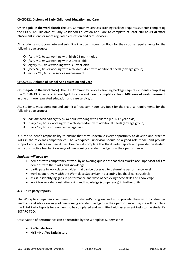#### **CHC50121 Diploma of Early Childhood Education and Care**

**On-the-job (in the workplace):** The CHC Community Services Training Package requires students completing the CHC50121 Diploma of Early Childhood Education and Care to complete at least **280 hours of work placement** in one or more regulated education and care service/s.

ALL students must complete and submit a Practicum Hours Log Book for their course requirements for the following age groups:

- *forty (40) hours* working with birth-23 month-olds
- *forty (40) hours* working with 2-3 year-olds
- *eighty (80) hours* working with 3-5 year-olds
- *forty (40) hours* working with a child/children with additional needs (any age group)
- *eighty (80) hours* in service management.

#### **CHC50213 Diploma of School Age Education and Care**

**On-the-job (in the workplace):** The CHC Community Services Training Package requires students completing the CHC50213 Diploma of School Age Education and Care to complete at least **240 hours of work placement** in one or more regulated education and care service/s.

ALL students must complete and submit a Practicum Hours Log Book for their course requirements for the following age groups:

- *one hundred and eighty (180)* hours working with children (i.e. 6-12 year olds)
- *thirty (30)* hours working with a child/children with additional needs (any age group)
- *thirty (30)* hours of service management

It is the student's responsibility to ensure that they undertake every opportunity to develop and practice skills in the relevant competencies. The Workplace Supervisor should be a good role model and provide support and guidance in their duties. He/she will complete the Third Party Reports and provide the student with constructive feedback on ways of overcoming any identified gaps in their performance.

#### *Students will need to:*

- demonstrate competency at work by answering questions that their Workplace Supervisor asks to demonstrate their skills and knowledge
- participate in workplace activities that can be observed to determine performance level
- work cooperatively with the Workplace Supervisor in accepting feedback constructively
- assist in identifying gaps in performance and ways of achieving these skills and knowledge
- work towards demonstrating skills and knowledge (competency) in further units

#### **4.3 Third party reports**

The Workplace Supervisor will monitor the student's progress and must provide them with constructive feedback and advice on ways of overcoming any identified gaps in their performance. He/she will complete the Third Party Reports for each unit to be completed and submitted with assessment tasks to the student's ECTARC TDO.

Observation of performance can be recorded by the Workplace Supervisor as:

- **S – Satisfactory**
- **NYS – Not Yet Satisfactory**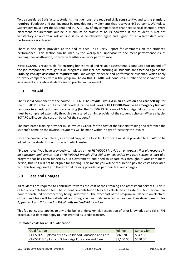To be considered Satisfactory, students must demonstrate required skills **consistently,** and **to the standard required**. Feedback and training must be provided for any elements that receive a NYS outcome. Workplace Supervisors must alert the student and ECTARC TDO of any competencies that need special attention. Work placement requirements outline a minimum of practicum hours however, if the student is Not Yet Satisfactory at a certain skill at first, it could be observed again and signed off at a later date when performance is achieved.

There is also space provided at the end of each Third Party Report for comments on the student's performance. This section can be used by the Workplace Supervisor to document performance issues needing special attention, or provide feedback on work performance.

**Note:** ECTARC is responsible for ensuring honest, valid and reliable assessment is conducted for on and off the job components throughout all programs. This includes ensuring all students are assessed against the **Training Package assessment requirements:** knowledge evidence and performance evidence, which apply to every competency within the program. To do this, ECTARC will conduct a number of observation and assessment visits while students are on practicum placement.

## **5.0 First Aid**

The first aid component of the course – **HLTAID012 Provide First Aid in an education and care setting** (for the CHC50121 Diploma of Early Childhood Education and Care) or **HLTAID004 Provide an emergency first aid response in an education and care setting** (for the CHC50213 Diploma of School Age Education and Care) must be completed externally through a registered training provider of the student's choice. Where eligible, ECTARC will cover the cost on behalf of the student.\*

The nominated training provider must invoice ECTARC for the cost of the first aid training and reference the student's name on the invoice. Payments will be made within 7 days of receiving the invoice.

Once the course is completed, a certified copy of the First Aid Certificate must be provided to ECTARC to be added to the student's records as a Credit Transfer.

\*Please note: If you have previously completed either *HLTAID004 Provide an emergency first aid response in an education and care setting* or *HLTAID012 Provide First Aid in an education and care setting* as part of a program that has been funded by Qld Government, and need to update this throughout your enrolment period, this unit will not be eligible for funding. This means you will be required to pay the costs associated with this training directly to the external training provider as per their fees and charges.

## **6.0 Fees and Charges**

All students are required to contribute towards the cost of their training and assessment services. This is called a co-contribution fee. The student co-contribution fees are calculated at a rate of 0.65c per nominal hour for each unit of competency being undertaken. The exact cost of the program will depend on electives chosen and fees will be calculated accordingly as per units selected in Training Plan development. *See Appendix 1 and 2 for the full list of units and individual prices.*

This fee policy also applies to any units being undertaken via recognition of prior knowledge and skills (RPL process), but does not apply to units granted as Credit Transfer.

#### **Estimated costs for a full qualification:**

| Qualification                                          | <b>Full fee</b>          | Concession |
|--------------------------------------------------------|--------------------------|------------|
| CHC50121 Diploma of Early Childhood Education and Care | \$869.70                 | \$347.88   |
| CHC50213 Diploma of School Age Education and Care      | $\frac{1}{2}$ \$1,100.00 | \$550.00   |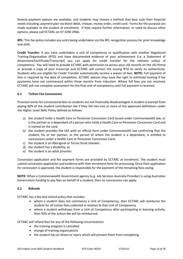Several payment options are available, and students may choose a method that best suits their financial needs including; payment plan via direct debit, cheque, money order, credit card. Forms for this purpose are made available to the student at enrolment. If they require further information, or need to discuss other options, please call ECTARC on 07 3290 2966**.**

**RPL:** This fee policy includes any units being undertaken via the RPL recognition process for prior knowledge and skills.

**Credit Transfer:** If you have undertaken a unit of competency or qualification with another Registered Training Organisation (RTO) and have documented evidence of your achievement (i.e. a Statement of Attainment/Certificate/Transcript) you can apply for credit transfer for the relevant unit(s) of competency. You will need to provide ECTARC with permission to access your USI records on the USI Portal or provide a copy of your transcript and ECTARC will contact the issuing RTO to verify its authenticity. Students who are eligible for Credit Transfer automatically receive a waiver of fees. **NOTE:** Full payment of fees is required by the date of completion. ECTARC advises they have the right to withhold training if fee payments have not commenced within three months from induction. Where full fees are not received, ECTARC will not complete assessment for the final unit of competency until full payment is received.

#### **6.1 Tuition Fee Concessions**

Provision exists for concessional fees so students are not financially disadvantaged. A student is exempt from paying 60% of the student contribution fee if they fall into one or more of the approved definitions under the Higher Level Skills Policy defined as follows:

- a) the student holds a Health Care or Pensioner Concession Card issued under Commonwealth law, or is the partner or a dependant of a person who holds a Health Care or Pensioner Concession Card and is named on the card;
- b) the student provides the SAS with an official form under Commonwealth law confirming that the student, his or her partner, or the person of whom the student is a dependant, is entitled to concessions under a Health Care or Pensioner Concession Card;
- c) the student is an Aboriginal or Torres Strait Islander;
- d) the student has a disability; or
- e) the student is an adult prisoner.

Concession application and fee payment forms are provided by ECTARC at enrolment. The student must submit concession application and evidence with their enrolment form for processing. Once their application for concession is approved, the student is responsible for the payment of the remaining fees owing.

**NOTE:** When a Commonwealth Government agency (e.g. Job Services Australia Provider) is using Australian Government funding to pay fees on behalf of a student, then no concessions can apply.

#### **6.2 Refunds**

ECTARC has a fee and refund policy that includes:

- where a student does not commence a Unit of Competency, then ECTARC will reimburse the student for all tuition fees collected in relation to that Unit of Competency
- where a student withdraws from a Unit of Competency after participating in learning activity, then 50% of the tuition fee will be reimbursed.

ECTARC will refund fees for any of the following circumstances:

- the training program is cancelled
- change of training organisations
- the student has an illness or injury which will prevent them from completing.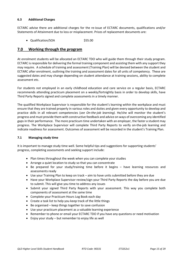#### **6.3 Additional Charges**

ECTARC advise there are additional charges for the re-issue of ECTARC documents, qualifications and/or Statements of Attainment due to loss or misplacement. Prices of replacement documents are:

• Qualification/SOA \$55.00

### **7.0 Working through the program**

At enrolment students will be allocated an ECTARC TDO who will guide them through their study program. ECTARC is responsible for delivering the formal training component and assisting them with any support they may require. A schedule of training and assessment (Training Plan) will be devised between the student and ECTARC after enrolment, outlining the training and assessment dates for all units of competency. These are suggested dates and may change depending on student attendance at training sessions, ability to complete assessment etc.

For students not employed in an early childhood education and care service on a regular basis, ECTARC recommends attending practicum placement on a weekly/fortnightly basis in order to develop skills, have Third Party Reports signed and complete assessments in a timely manner.

The qualified Workplace Supervisor is responsible for the student's learning within the workplace and must ensure that they are trained properly in various roles and duties and given every opportunity to develop and practice skills in all relevant competencies (*see On-the-job learning).* He/she will monitor the student's progress and must provide them with constructive feedback and advice on ways of overcoming any identified gaps in their performance. The more practicum time undertaken with an employer, the faster a student may progress. The Workplace Supervisor will complete Third Party Reports to verify on-the-job learning and indicate readiness for assessment. Outcomes of assessment will be recorded in the student's Training Plan.

#### **7.1 Managing study time**

It is important to manage study time well. Some helpful tips and suggestions for supporting students' progress, completing assessments and seeking support include:

- Plan times throughout the week when you can complete your studies
- Arrange a quiet location to study so that you can concentrate
- Be prepared for your study/training time before it begins have learning resources and assessments ready
- Use your Training Plan to keep on track aim to have units submitted before they are due
- Have your Workplace Supervisor review/sign your Third Party Reports the day before you are due to submit. This will give you time to address any issues
- Submit your signed Third Party Reports with your assessment. This way you complete both components of assessment at the same time
- Complete your Practicum Hours Log Book each day
- Create a task list to help you keep track of the little things
- Be organised keep things together to save confusion
- Use your practicum placement as a valuable learning experience
- Remember to phone or email your ECTARC TDO if you have any questions or need motivation
- Enjoy your study but remember to enjoy life as well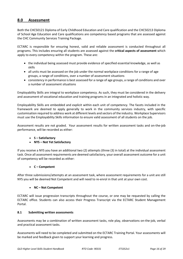## **8.0 Assessment**

Both the CHC50121 Diploma of Early Childhood Education and Care qualification and the CHC50213 Diploma of School Age Education and Care qualifications are competency based programs that are assessed against the CHC Community Services Training Package.

ECTARC is responsible for ensuring honest, valid and reliable assessment is conducted throughout all programs. This includes ensuring all students are assessed against the **critical aspects of assessment** which apply to every competency within the program. These are:

- the individual being assessed must provide evidence of specified essential knowledge, as well as skills
- all units must be assessed on the job under the normal workplace conditions for a range of age groups, a range of conditions, over a number of assessment situations
- consistency in performance is best assessed for a range of age groups, a range of conditions and over a number of assessment situations

Employability Skills are integral to workplace competency. As such, they must be considered in the delivery and assessment of vocational education and training programs in an integrated and holistic way.

Employability Skills are embedded and explicit within each unit of competency. The facets included in the framework are deemed to apply generally to work in the community services industry, with specific customisation required to address work at different levels and sectors of the industry. Workplace Supervisors must use the Employability Skills information to ensure valid assessment of all students on the job.

Assessment results are not graded. Your assessment results for written assessment tasks and on-the-job performance, will be recorded as either:

#### • **S – Satisfactory**

#### • **NYS – Not Yet Satisfactory**

If you receive a NYS you have an additional two (2) attempts (three (3) in total) at the individual assessment task. Once all assessment requirements are deemed satisfactory, your overall assessment outcome for a unit of competency will be recorded as either:

#### • **C – Competent**

After three submissions/attempts at an assessment task, where assessment requirements for a unit are still NYS you will be deemed Not Competent and will need to re-enrol in that unit at your own cost.

#### • **NC – Not Competent**

ECTARC will issue progression transcripts throughout the course, or one may be requested by calling the ECTARC office. Students can also access their Progress Transcript via the ECTARC Student Management Portal.

#### **8.1 Submitting written assessments**

Assessments may be a combination of written assessment tasks, role play, observations on-the-job, verbal and practical assessment tasks.

Assessments will need to be completed and submitted on the ECTARC Training Portal. Your assessments will be marked and feedback given to support your learning and progress.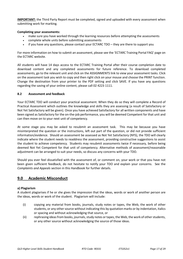**IMPORTANT:** the Third Party Report must be completed, signed and uploaded with every assessment when submitting work for marking*.*

#### **Completing your assessments:**

- make sure you have worked through the learning resources before attempting the assessments
- complete whole units before submitting assessments
- if you have any questions, please contact your ECTARC TDO they are there to support you

For more information on how to submit an assessment, please see the 'ECTARC Training Portal FAQ' page on the ECTARC website.

All students will have 14 days access to the ECTARC Training Portal after their course completion date to download content and any completed assessments for future reference. To download completed assessments, go to the relevant unit and click on the ASSIGNMENTS link to view your assessment tasks. Click on the assessment task you wish to copy and then right click on your mouse and choose the PRINT function. Change the destination from your printer to the PDF setting and click SAVE. If you have any questions regarding the saving of your online content, please call 02 4223 1111.

#### **8.2 Assessment and feedback**

Your ECTARC TDO will conduct your practical assessment. When they do so they will complete a Record of Practical Assessment which outlines the knowledge and skills they are assessing (a result of Satisfactory or Not Yet Satisfactory will be given). Once you have achieved Satisfactory for all written components and have been signed as Satisfactory for the on-the-job performance, you will be deemed Competent for that unit and can then move on to your next unit of competency.

At some stage you may be asked to resubmit an assessment task. This may be because you have misinterpreted the question or the instructions, left out part of the question, or did not provide sufficient information/evidence. Should an assessment be assessed as Not Yet Satisfactory (NYS), the TDO will clearly indicate where the student needs to readdress the assessment, providing constructive suggestions to assist the student to achieve competency. Students may resubmit assessments twice if necessary, before being deemed Not Yet Competent for that unit of competency. Alternative methods of assessment/reasonable adjustment can be arranged to suit your needs, so discuss any concerns with your TDO.

Should you ever feel dissatisfied with the assessment of, or comment on, your work or that you have not been given sufficient feedback, do not hesitate to notify your TDO and explain your concerns. See the *Complaints and Appeals* section in this Handbook for further details.

## **9.0 Academic Misconduct**

#### **a) Plagiarism**

A student plagiarises if he or she gives the impression that the ideas, words or work of another person are the ideas, words or work of the student. Plagiarism will include:

- (i) copying any material from books, journals, study notes or tapes, the Web, the work of other students, or any other source without indicating this by quotation marks or by indentation, italics or spacing and without acknowledging that source, or
- (ii) rephrasing ideas from books, journals, study notes or tapes, the Web, the work of other students, or any other source without acknowledging the source of those ideas.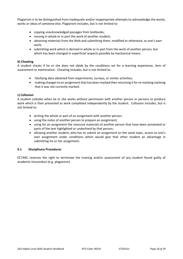Plagiarism is to be distinguished from inadequate and/or inappropriate attempts to acknowledge the words, works or ideas of someone else. Plagiarism includes, but is not limited to:

- copying unacknowledged passages from textbooks;
- reusing in whole or in part the work of another student;
- obtaining materials from the Web and submitting them, modified or otherwise, as one's own work;
- submitting work which is derived in whole or in part from the work of another person, but which has been changed in superficial respects possibly by mechanical means.

#### **b) Cheating**

A student cheats if he or she does not abide by the conditions set for a learning experience, item of assessment or examination. Cheating includes, but is not limited to:

- falsifying data obtained from experiments, surveys, or similar activities;
- making changes to an assignment that has been marked then returning it for re-marking claiming that it was not correctly marked.

#### **c) Collusion**

A student colludes when he or she works without permission with another person or persons to produce work which is then presented as work completed independently by the student. Collusion includes, but is not limited to:

- writing the whole or part of an assignment with another person;
- using the notes of another person to prepare an assignment;
- using for an assignment the resource materials of another person that have been annotated or parts of the text highlighted or underlined by that person;
- allowing another student, who has to submit an assignment on the same topic, access to one's own assignment under conditions which would give that other student an advantage in submitting his or her assignment.

#### **9.1 Disciplinary Procedures**

ECTARC reserves the right to terminate the training and/or assessment of any student found guilty of academic misconduct (e.g. plagiarism).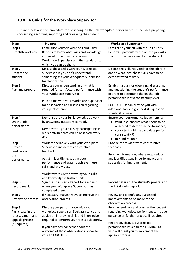## **10.0 A Guide for the Workplace Supervisor**

Outlined below is the procedure for observing on-the-job workplace performance. It includes preparing, conducting, recording, reporting and reviewing the student.

| <b>Steps</b>        | <b>Student</b>                                | <b>Workplace Supervisor</b>                        |
|---------------------|-----------------------------------------------|----------------------------------------------------|
| Step 1              | Familiarise yourself with the Third Party     | Familiarise yourself with the Third Party          |
| Establish work role | Reports to know what skills and knowledge     | Reports - particularly the on-the-job skills       |
|                     | you need to demonstrate to your               | that must be performed by the student.             |
|                     | Workplace Supervisor and the standards to     |                                                    |
|                     | which you can do them.                        |                                                    |
| Step 2              | Discuss these skills with your Workplace      | Discuss the skills required for the job role       |
| Prepare the         | Supervisor. If you don't understand           | and to what level these skills have to be          |
| student             | something ask your Workplace Supervisor       | demonstrated at work.                              |
|                     | for clarification.                            |                                                    |
| Step 3              | Discuss your understanding of what is         | Establish a plan for observing, discussing,        |
| Plan and prepare    | required for satisfactory performance with    | and questioning the student's performance          |
|                     | your Workplace Supervisor.                    | in order to determine the on-the-job               |
|                     |                                               | performance is at a satisfactory level.            |
|                     | Plan a time with your Workplace Supervisor    |                                                    |
|                     | for observation and discussion regarding      | ECTARC TDOs can provide you with                   |
|                     | your performance.                             | additional tools (e.g. checklists, question        |
|                     |                                               | sheets) if required.                               |
| Step 4              | Demonstrate your full knowledge at work       | Ensure your performance judgement is:              |
| On-the-job          | by answering questions correctly.             | • valid (e.g. observe what needs to be             |
| performance         | Demonstrate your skills by participating in   | observed to determine performance)                 |
|                     | work activities that can be observed every    | consistent (did the candidate perform<br>$\bullet$ |
|                     | day.                                          | consistently?)                                     |
|                     |                                               | • fair and reliable                                |
| Step 5              | Work cooperatively with your Workplace        | Provide the student with constructive              |
| Provide             | Supervisor and accept constructive            | feedback.                                          |
| feedback on         | feedback.                                     |                                                    |
| the                 |                                               | Provide information, where required, on            |
| performance         | Assist in identifying gaps in your            | any identified gaps in performance and             |
|                     | performance and ways to achieve these         | strategies for improvement.                        |
|                     | skills and knowledge.                         |                                                    |
|                     | Work towards demonstrating your skills        |                                                    |
|                     | and knowledge in further units.               |                                                    |
| Step 6              | Sign the Third Party Report for each unit     | Record details of the student's progress on        |
| Record result       | when your Workplace Supervisor has            | the Third Party Report.                            |
|                     | completed them.                               |                                                    |
| Step 7              | If necessary, suggest ways to improve the     | Review and identify any suggested                  |
| Review the process  | observation process.                          | improvements to be made to the                     |
|                     |                                               | observation process.                               |
| Step 8              | Discuss your performance with your            | Provide feedback and counsel the student           |
| Participate in the  | workplace supervisor. Seek assistance and     | regarding workplace performance. Include           |
| re-assessment and   | advice on improving skills and knowledge      | guidance on further practice if required.          |
| appeals process     | required to perform your role satisfactorily. |                                                    |
| (if required)       |                                               | Report any disputed workplace                      |
|                     | If you have any concerns about the            | performance issues to the ECTARC TDO -             |
|                     | outcome of these observations, speak to       | who will assist you to implement the               |
|                     | your ECTARC TDO.                              | appeals process.                                   |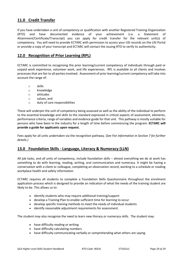## **11.0 Credit Transfer**

If you have undertaken a unit of competency or qualification with another Registered Training Organisation (RTO) and have documented evidence of your achievement (i.e. a Statement of Attainment/Certificate/Transcript) you can apply for credit transfer for the relevant unit(s) of competency. You will need to provide ECTARC with permission to access your USI records on the USI Portal or provide a copy of your transcript and ECTARC will contact the issuing RTO to verify its authenticity.

## **12.0 Recognition of Prior Learning (RPL)**

ECTARC is committed to recognising the prior learning/current competency of individuals through paid or unpaid work experience, volunteer work, and life experiences. RPL is available to all clients and involves processes that are fair to all parties involved. Assessment of prior learning/current competency will take into account the range of:

- o skills
- o knowledge
- o attitudes
- o values, and
- o duty of care responsibilities

These will underpin the unit of competency being assessed as well as the ability of the individual to perform to the essential knowledge and skills to the standard expressed in critical aspects of assessment, elements, performance criteria, range of variables and evidence guide for that unit. This pathway is mostly suitable for persons who have been in the industry for a length of time before commencing the program. **ECTARC will provide a guide for applicants upon request.**

Fees apply for all units undertaken via the recognition pathway. (*See Fee Information in Section 7 for further details.)*

### **13.0 Foundation Skills - Language, Literacy & Numeracy (LLN)**

All job tasks, and all units of competency, include foundation skills – almost everything we do at work has something to do with learning, reading, writing, oral communication and numeracy. It might be having a conversation with a client or colleague, completing an observation record, working to a schedule or reading workplace health and safety information.

ECTARC requires all students to complete a Foundation Skills Questionnaire throughout the enrolment application process which is designed to provide an indication of what the needs of the training student are likely to be. This allows us to:

- identify students who may require additional training/support
- develop a Training Plan to enable sufficient time for learning to occur
- develop specific training methods to meet the needs of individual students
- identify reasonable adjustment requirements for assessment.

The student may also recognise the need to learn new literacy or numeracy skills. The student may:

- have difficulty reading or writing
- have difficulty calculating numbers
- have difficulty communicating verbally or comprehending what others are saying.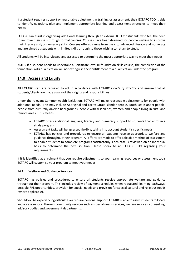If a student requires support or reasonable adjustment in training or assessment, their ECTARC TDO is able to identify, negotiate, plan and implement appropriate learning and assessment strategies to meet their needs.

ECTARC can assist in organising additional learning through an external RTO for students who feel the need to improve their skills through formal courses. Courses have been designed for people wishing to improve their literacy and/or numeracy skills. Courses offered range from basic to advanced literacy and numeracy and are aimed at students with limited skills through to those wishing to return to study.

All students will be interviewed and assessed to determine the most appropriate way to meet their needs.

**NOTE***:* if a student needs to undertake a Certificate level III foundation skills course, the completion of the foundation skills qualification will not extinguish their entitlement to a qualification under the program.

## **14.0 Access and Equity**

All ECTARC staff are required to act in accordance with ECTARC's *Code of Practice* and ensure that all students/clients are made aware of their rights and responsibilities.

Under the relevant Commonwealth legislation*,* ECTARC will make reasonable adjustments for people with additional needs. This may include Aboriginal and Torres Strait Islander people, South Sea Islander people, people from culturally diverse backgrounds, people with disabilities, women and people living in rural and remote areas. This means:

- ECTARC offers additional language, literacy and numeracy support to students that enrol in a study program
- Assessment tasks will be assessed flexibly, taking into account student's specific needs
- ECTARC has policies and procedures to ensure all students receive appropriate welfare and guidance throughout their program. All efforts are made to offer a flexible method of assessment to enable students to complete programs satisfactorily. Each case is reviewed on an individual basis to determine the best solution. Please speak to an ECTARC TDO regarding your requirements.

If it is identified at enrolment that you require adjustments to your learning resources or assessment tools ECTARC will customise your program to meet your needs.

#### **14.1 Welfare and Guidance Services**

ECTARC has policies and procedures to ensure all students receive appropriate welfare and guidance throughout their program. This includes review of payment schedules when requested, learning pathways, possible RPL opportunities, provision for special needs and provision for special cultural and religious needs (where applicable).

Should you be experiencing difficulties or require personal support, ECTARC is able to assist students to locate and access support through community services such as special needs services, welfare services, counselling, advisory bodies and government departments.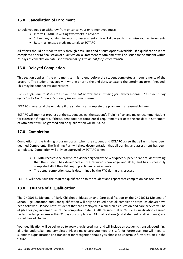## **15.0 Cancellation of Enrolment**

Should you need to withdraw from or cancel your enrolment you must:

- Inform ECTARC in writing two weeks in advance
- Submit any outstanding work for assessment this will allow you to maximise your achievements
- Return all unused study materials to ECTARC

All efforts should be made to work through difficulties and discuss options available. If a qualification is not completed prior to finalisation of qualification, a Statement of Attainment will be issued to the student within 21 days of cancellation date (s*ee Statement of Attainment for further details).*

## **16.0 Delayed Completion**

This section applies if the enrolment term is to end before the student completes all requirements of the program. The student may apply in writing prior to the end date, to extend the enrolment term if needed. This may be done for various reasons.

*For example: due to illness the student cannot participate in training for several months. The student may apply to ECTARC for an extension of the enrolment term.*

ECTARC may extend the end date if the student can complete the program in a reasonable time.

ECTARC will monitor progress of the student against the student's Training Plan and make recommendations for extension if required. If the student does not complete all requirements prior to the end date, a Statement of Attainment will be granted and no qualification will be issued.

## **17.0 Completion**

Completion of the training program occurs when the student and ECTARC agree that all units have been deemed Competent. The Training Plan will show documentation that all training and assessment has been completed. Completion will only be approved by ECTARC when:

- ECTARC receives the practicum evidence signed by the Workplace Supervisor and student stating that the student has developed all the required knowledge and skills, and has successfully completed all of the off-the-job practicum requirements
- The actual completion date is determined by the RTO during this process

ECTARC will then issue the required qualification to the student and report that completion has occurred.

## **18.0 Issuance of a Qualification**

The CHC50121 Diploma of Early Childhood Education and Care qualification or the CHC50213 Diploma of School Age Education and Care qualification will only be issued once all completion steps (as above) have been followed. Please note: students that are employed in a children's education and care service will be eligible for pay increment as of the completion date. DESBT require that RTOs issue qualifications earned under funded programs within 21 days of completion. All qualifications (and statement of attainments) are issued free of charge.

Your qualification will be delivered to you via registered mail and will include an academic transcript outlining all units undertaken and completed. Please make sure you keep this safe for future use. You will need to submit this qualification and transcript for recognition should you choose to undertake further studies in the future.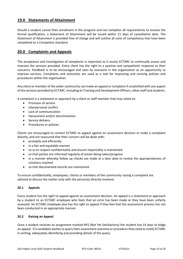## **19.0 Statements of Attainment**

Should a student cancel their enrolment in the program and not complete all requirements to receive the formal qualification, a Statement of Attainment will be issued within 21 days of cancellation date. The Statement of Attainment is provided free of charge and will outline all units of competency that have been completed to a Competent standard.

## **20.0 Complaints and Appeals**

The acceptance and investigation of complaints is important as it assists ECTARC to continually assess and improve the services provided. Every client has the right to a positive and sympathetic response to their concerns. Feedback is to be encouraged and seen by everyone in the organisation as an opportunity to improve services. Complaints and outcomes are used as a tool for improving and revising policies and procedures within the organisation.

Any client or member of the wider community can make an appeal or complaint if unsatisfied with any aspect of the services provided by ECTARC, including its Training and Development Officers, other staff and students.

A complaint is a statement or approach by a client or staff member that may relate to:

- Provision of service
- Interpersonal conflict
- Lack of communication
- Harassment and/or discrimination
- Service delivery
- Procedures or policies

Clients are encouraged to contact ECTARC to appeal against an assessment decision or make a complaint directly, and are reassured that their concern will be dealt with:

- promptly and efficiently
- in a fair and equitable manner
- so as to respect confidentiality and ensure impartiality is maintained
- so that parties are informed regularly of action being taken/progress
- in a manner whereby follow up checks are made at a later date to review the appropriateness of solutions reached
- so that documented records are maintained

To ensure confidentiality, employees, clients or members of the community raising a complaint are advised to discuss the matter only with the person(s) directly involved.

#### **20.1 Appeals**

Every student has the right to appeal against an assessment decision. An appeal is a statement or approach by a student to an ECTARC employee who feels that an error has been made or they have been unfairly assessed. An ECTARC employee also has the right to appeal if they feel that the assessment process has not been conducted in an appropriate manner.

#### **20.2 Raising an Appeal**

Once a student receives an assignment marked NYS (Not Yet Satisfactory) the student has 14 days to lodge an appeal. If a candidate wishes to query their assessment outcome or procedure they need to notify ECTARC in writing, adequately identifying and providing details of the query.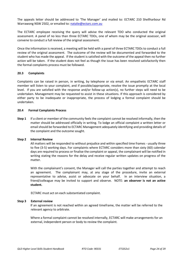The appeals letter should be addressed to 'The Manager' and mailed to: ECTARC 210 Shellharbour Rd Warrawong NSW 2502, or emailed to: [natalie@ectarc.com.au](mailto:natalie@ectarc.com.au)

The ECTARC employee receiving the query will advise the relevant TDO who conducted the original assessment. A panel of no less than three ECTARC TDOs, one of whom may be the original assessor, will convene to conduct a full review of the original assessment.

Once the information is received, a meeting will be held with a panel of three ECTARC TDOs to conduct a full review of the original assessment. The outcome of the review will be documented and forwarded to the student who has made the appeal. If the student is satisfied with the outcome of the appeal then no further action will be taken. If the student does not feel as though the issue has been resolved satisfactorily then the formal complaints process must be followed.

#### **20.3 Complaints**

Complaints can be raised in person, in writing, by telephone or via email. An empathetic ECTARC staff member will listen to your complaint, and if possible/appropriate, resolve the issue promptly at the local level. If you are satisfied with the response and/or follow-up action(s), no further steps will need to be undertaken. Management may be requested to assist in these situations. If this approach is considered by either party to be inadequate or inappropriate, the process of lodging a formal complaint should be undertaken.

#### **20.4 Formal Complaints Process**

**Step 1** If a client or member of the community feels the complaint cannot be resolved informally, then the matter should be addressed officially in writing. To lodge an official complaint a written letter or email should be forwarded to ECTARC Management adequately identifying and providing details of the complaint and the outcome sought.

#### **Step 2 Internal Review**

All matters will be responded to without prejudice and within specified time frames - usually three to five (3-5) working days. For complaints where ECTARC considers more than sixty (60) calendar days are required to process or finalise the complaint or appeal, the complainant will be notified in writing stating the reasons for the delay and receive regular written updates on progress of the matter.

With the complainant's consent, the Manager will call the parties together and attempt to reach an agreement. The complainant may, at any stage of the procedure, invite an external representative to advise, assist or advocate on your behalf. In an interview situation, a friend/colleague may be invited to support and observe. NOTE: **an observer is not an active student.**

ECTARC must act on each substantiated complaint.

#### **Step 3 External review**

If an agreement is not reached within an agreed timeframe, the matter will be referred to the relevant agency to arbitrate.

Where a formal complaint cannot be resolved internally, ECTARC will make arrangements for an external, independent person or body to review the complaint.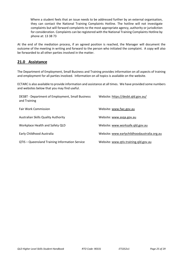Where a student feels that an issue needs to be addressed further by an external organisation, they can contact the National Training Complaints Hotline. The hotline will not investigate complaints but will forward complaints to the most appropriate agency, authority or jurisdiction for consideration. Complaints can be registered with the National Training Complaints Hotline by phone at: 13 38 73

At the end of the mediation process, if an agreed position is reached, the Manager will document the outcome of the meeting in writing and forward to the person who initiated the complaint. A copy will also be forwarded to all other parties involved in the matter.

## **21.0 Assistance**

The Department of Employment, Small Business and Training provides information on all aspects of training and employment for all parties involved. Information on all topics is available on the website.

ECTARC is also available to provide information and assistance at all times. We have provided some numbers and websites below that you may find useful.

| DESBT - Department of Employment, Small Business<br>and Training | Website: https://desbt.qld.gov.au/          |
|------------------------------------------------------------------|---------------------------------------------|
| <b>Fair Work Commission</b>                                      | Website: www.fwc.gov.au                     |
| <b>Australian Skills Quality Authority</b>                       | Website: www.asqa.gov.au                    |
| Workplace Health and Safety QLD                                  | Website: www.worksafe.gld.gov.au            |
| Early Childhood Australia                                        | Website: www.earlychildhoodaustralia.org.au |
| QTIS - Queensland Training Information Service                   | Website: www.qtis.training.qld.gov.au       |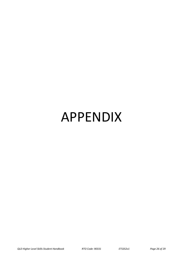# APPENDIX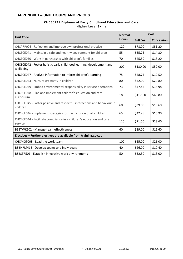## **APPENDIX 1 – UNIT HOURS AND PRICES**

#### **CHC50121 Diploma of Early Childhood Education and Care Higher Level Skills**

|                                                                                      |              | Cost            |            |
|--------------------------------------------------------------------------------------|--------------|-----------------|------------|
| <b>Unit Code</b>                                                                     | <b>Hours</b> | <b>Full Fee</b> | Concession |
| CHCPRP003 - Reflect on and improve own professional practice                         | 120          | \$78.00         | \$31.20    |
| CHCECE041 - Maintain a safe and healthy environment for children                     | 55           | \$35.75         | \$14.30    |
| CHCECE050 - Work in partnership with children's families                             | 70           | \$45.50         | \$18.20    |
| CHCECE042 - Foster holistic early childhood learning, development and<br>wellbeing   | 200          | \$130.00        | \$52.00    |
| CHCECE047 - Analyse information to inform children's learning                        | 75           | \$48.75         | \$19.50    |
| CHCECE043 - Nurture creativity in children                                           | 80           | \$52.00         | \$20.80    |
| CHCECE049 - Embed environmental responsibility in service operations                 | 73           | \$47.45         | \$18.98    |
| CHCECE048 - Plan and implement children's education and care<br>curriculum           | 180          | \$117.00        | \$46.80    |
| CHCECE045 - Foster positive and respectful interactions and behaviour in<br>children | 60           | \$39.00         | \$15.60    |
| CHCECE046 - Implement strategies for the inclusion of all children                   | 65           | \$42.25         | \$16.90    |
| CHCECE044 - Facilitate compliance in a children's education and care<br>service      | 110          | \$71.50         | \$28.60    |
| BSBTWK502 - Manage team effectiveness                                                | 60           | \$39.00         | \$15.60    |
| Electives - Further electives are available from training.gov.au                     |              |                 |            |
| CHCMGT003 - Lead the work team                                                       | 100          | \$65.00         | \$26.00    |
| BSBHRM413 - Develop teams and individuals                                            |              | \$26.00         | \$10.40    |
| BSBSTR501 - Establish innovative work environments                                   | 50           | \$32.50         | \$13.00    |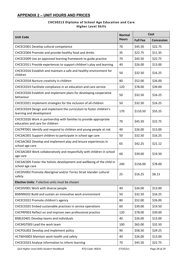## **APPENDIX 2 – UNIT HOURS AND PRICES**

### **CHC50213 Diploma of School Age Education and Care Higher Level Skills**

| <b>Unit Code</b>                                                                                      |     | Cost            |                   |
|-------------------------------------------------------------------------------------------------------|-----|-----------------|-------------------|
|                                                                                                       |     | <b>Full Fee</b> | <b>Concession</b> |
| CHCECE001 Develop cultural competence                                                                 | 70  | \$45.50         | \$22.75           |
| CHCECE004 Promote and provide healthy food and drinks<br>35                                           |     | \$22.75         | \$11.35           |
| CHCECE009 Use an approved learning framework to guide practice                                        | 70  | \$45.50         | \$22.75           |
| CHCECE011 Provide experiences to support children's play and learning                                 | 40  | \$26.00         | \$13.00           |
| CHCECE016 Establish and maintain a safe and healthy environment for<br>children                       | 50  | \$32.50         | \$16.25           |
| CHCECE018 Nurture creativity in children                                                              | 80  | \$52.00         | \$26.00           |
| CHCECE019 Facilitate compliance in an education and care service                                      | 120 | \$78.00         | \$39.00           |
| CHCECE020 Establish and implement plans for developing cooperative<br>behaviour                       | 50  | \$32.50         | \$16.25           |
| CHCECE021 Implement strategies for the inclusion of all children                                      | 50  | \$32.50         | \$16.25           |
| CHCECE024 Design and implement the curriculum to foster children's<br>learning and development        | 170 | \$110.50        | \$55.25           |
| CHCECE026 Work in partnership with families to provide appropriate<br>education and care for children | 70  | \$45.50         | \$22.75           |
| CHCPRT001 Identify and respond to children and young people at risk                                   | 40  | \$26.00         | \$13.00           |
| CHCSAC001 Support children to participate in school age care                                          | 50  | \$32.50         | \$16.25           |
| CHCSAC002 Develop and implement play and leisure experiences in<br>school age care                    | 65  | \$42.25         | \$21.12           |
| CHCSAC003 Work collaboratively and respectfully with children in school<br>age care                   | 60  | \$39.00         | \$19.50           |
| CHCSAC005 Foster the holistic development and wellbeing of the child in<br>school age care            | 240 | \$156.00        | \$78.00           |
| CHCDIV002 Promote Aboriginal and/or Torres Strait Islander cultural<br>safety                         | 25  | \$16.25         | \$8.13            |
| Elective Units: 7 elective units must be chosen                                                       |     |                 |                   |
| CHCDIV001 Work with diverse people                                                                    | 40  | \$26.00         | \$13.00           |
| BSBINN502 Build and sustain an innovative work environment                                            | 50  | \$32.50         | \$16.25           |
| CHCECE022 Promote children's agency                                                                   | 80  | \$52.00         | \$26.00           |
| CHCECE025 Embed sustainable practices in service operations                                           |     | \$39.00         | \$19.50           |
| CHCPRP003 Reflect on and improve own professional practice                                            | 120 | \$78.00         | \$39.00           |
| BSBLED401 Develop teams and individuals                                                               |     | \$26.00         | \$13.00           |
| CHCMGT003 Lead the work team                                                                          |     | \$65.00         | \$32.50           |
| CHCPOL002 Develop and implement policy                                                                |     | \$58.50         | \$29.25           |
| HLTWHS003 Maintain work health and safety                                                             |     | \$26.00         | \$13.00           |
| CHCECE023 Analyse information to inform learning                                                      |     | \$45.50         | \$22.75           |

*QLD Higher Level Skills Student Handbook RTO Code: 90331 ETS352v1 Page 28 of 29*